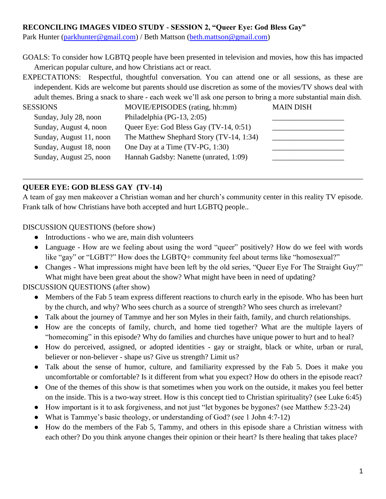### **RECONCILING IMAGES VIDEO STUDY - SESSION 2, "Queer Eye: God Bless Gay"**

Park Hunter [\(parkhunter@gmail.com\)](mailto:parkhunter@gmail.com) / Beth Mattson [\(beth.mattson@gmail.com\)](mailto:beth.mattson@gmail.com)

GOALS: To consider how LGBTQ people have been presented in television and movies, how this has impacted American popular culture, and how Christians act or react.

EXPECTATIONS: Respectful, thoughtful conversation. You can attend one or all sessions, as these are independent. Kids are welcome but parents should use discretion as some of the movies/TV shows deal with adult themes. Bring a snack to share - each week we'll ask one person to bring a more substantial main dish.

| <b>SESSIONS</b>         | MOVIE/EPISODES (rating, hh:mm)           | <b>MAIN DISH</b> |
|-------------------------|------------------------------------------|------------------|
| Sunday, July 28, noon   | Philadelphia (PG-13, 2:05)               |                  |
| Sunday, August 4, noon  | Queer Eye: God Bless Gay (TV-14, 0:51)   |                  |
| Sunday, August 11, noon | The Matthew Shephard Story (TV-14, 1:34) |                  |
| Sunday, August 18, noon | One Day at a Time (TV-PG, 1:30)          |                  |
| Sunday, August 25, noon | Hannah Gadsby: Nanette (unrated, 1:09)   |                  |
|                         |                                          |                  |

# **QUEER EYE: GOD BLESS GAY (TV-14)**

A team of gay men makeover a Christian woman and her church's community center in this reality TV episode. Frank talk of how Christians have both accepted and hurt LGBTQ people..

DISCUSSION QUESTIONS (before show)

- Introductions who we are, main dish volunteers
- Language How are we feeling about using the word "queer" positively? How do we feel with words like "gay" or "LGBT?" How does the LGBTQ+ community feel about terms like "homosexual?"
- Changes What impressions might have been left by the old series, "Oueer Eye For The Straight Guy?" What might have been great about the show? What might have been in need of updating?

DISCUSSION QUESTIONS (after show)

- Members of the Fab 5 team express different reactions to church early in the episode. Who has been hurt by the church, and why? Who sees church as a source of strength? Who sees church as irrelevant?
- Talk about the journey of Tammye and her son Myles in their faith, family, and church relationships.
- How are the concepts of family, church, and home tied together? What are the multiple layers of "homecoming" in this episode? Why do families and churches have unique power to hurt and to heal?
- How do perceived, assigned, or adopted identities gay or straight, black or white, urban or rural, believer or non-believer - shape us? Give us strength? Limit us?
- Talk about the sense of humor, culture, and familiarity expressed by the Fab 5. Does it make you uncomfortable or comfortable? Is it different from what you expect? How do others in the episode react?
- One of the themes of this show is that sometimes when you work on the outside, it makes you feel better on the inside. This is a two-way street. How is this concept tied to Christian spirituality? (see Luke 6:45)
- How important is it to ask forgiveness, and not just "let bygones be bygones? (see Matthew 5:23-24)
- What is Tammye's basic theology, or understanding of God? (see 1 John 4:7-12)
- How do the members of the Fab 5, Tammy, and others in this episode share a Christian witness with each other? Do you think anyone changes their opinion or their heart? Is there healing that takes place?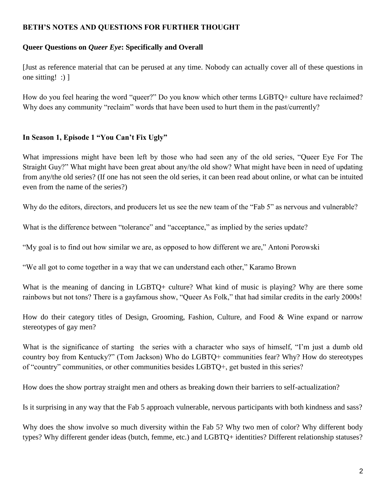### **BETH'S NOTES AND QUESTIONS FOR FURTHER THOUGHT**

#### **Queer Questions on** *Queer Eye***: Specifically and Overall**

[Just as reference material that can be perused at any time. Nobody can actually cover all of these questions in one sitting! :) ]

How do you feel hearing the word "queer?" Do you know which other terms LGBTQ+ culture have reclaimed? Why does any community "reclaim" words that have been used to hurt them in the past/currently?

## **In Season 1, Episode 1 "You Can't Fix Ugly"**

What impressions might have been left by those who had seen any of the old series, "Queer Eye For The Straight Guy?" What might have been great about any/the old show? What might have been in need of updating from any/the old series? (If one has not seen the old series, it can been read about online, or what can be intuited even from the name of the series?)

Why do the editors, directors, and producers let us see the new team of the "Fab 5" as nervous and vulnerable?

What is the difference between "tolerance" and "acceptance," as implied by the series update?

"My goal is to find out how similar we are, as opposed to how different we are," Antoni Porowski

"We all got to come together in a way that we can understand each other," Karamo Brown

What is the meaning of dancing in LGBTQ+ culture? What kind of music is playing? Why are there some rainbows but not tons? There is a gayfamous show, "Queer As Folk," that had similar credits in the early 2000s!

How do their category titles of Design, Grooming, Fashion, Culture, and Food & Wine expand or narrow stereotypes of gay men?

What is the significance of starting the series with a character who says of himself, "I'm just a dumb old country boy from Kentucky?" (Tom Jackson) Who do LGBTQ+ communities fear? Why? How do stereotypes of "country" communities, or other communities besides LGBTQ+, get busted in this series?

How does the show portray straight men and others as breaking down their barriers to self-actualization?

Is it surprising in any way that the Fab 5 approach vulnerable, nervous participants with both kindness and sass?

Why does the show involve so much diversity within the Fab 5? Why two men of color? Why different body types? Why different gender ideas (butch, femme, etc.) and LGBTQ+ identities? Different relationship statuses?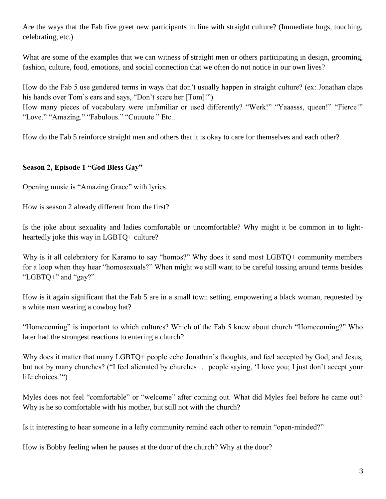Are the ways that the Fab five greet new participants in line with straight culture? (Immediate hugs, touching, celebrating, etc.)

What are some of the examples that we can witness of straight men or others participating in design, grooming, fashion, culture, food, emotions, and social connection that we often do not notice in our own lives?

How do the Fab 5 use gendered terms in ways that don't usually happen in straight culture? (ex: Jonathan claps his hands over Tom's ears and says, "Don't scare her [Tom]!")

How many pieces of vocabulary were unfamiliar or used differently? "Werk!" "Yaaasss, queen!" "Fierce!" "Love." "Amazing." "Fabulous." "Cuuuute." Etc..

How do the Fab 5 reinforce straight men and others that it is okay to care for themselves and each other?

## **Season 2, Episode 1 "God Bless Gay"**

Opening music is "Amazing Grace" with lyrics.

How is season 2 already different from the first?

Is the joke about sexuality and ladies comfortable or uncomfortable? Why might it be common in to lightheartedly joke this way in LGBTQ+ culture?

Why is it all celebratory for Karamo to say "homos?" Why does it send most LGBTQ+ community members for a loop when they hear "homosexuals?" When might we still want to be careful tossing around terms besides "LGBTQ+" and "gay?"

How is it again significant that the Fab 5 are in a small town setting, empowering a black woman, requested by a white man wearing a cowboy hat?

"Homecoming" is important to which cultures? Which of the Fab 5 knew about church "Homecoming?" Who later had the strongest reactions to entering a church?

Why does it matter that many LGBTQ+ people echo Jonathan's thoughts, and feel accepted by God, and Jesus, but not by many churches? ("I feel alienated by churches … people saying, 'I love you; I just don't accept your life choices.'")

Myles does not feel "comfortable" or "welcome" after coming out. What did Myles feel before he came out? Why is he so comfortable with his mother, but still not with the church?

Is it interesting to hear someone in a lefty community remind each other to remain "open-minded?"

How is Bobby feeling when he pauses at the door of the church? Why at the door?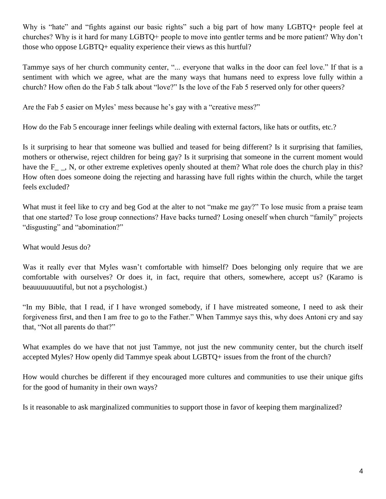Why is "hate" and "fights against our basic rights" such a big part of how many LGBTQ+ people feel at churches? Why is it hard for many LGBTQ+ people to move into gentler terms and be more patient? Why don't those who oppose LGBTQ+ equality experience their views as this hurtful?

Tammye says of her church community center, "... everyone that walks in the door can feel love." If that is a sentiment with which we agree, what are the many ways that humans need to express love fully within a church? How often do the Fab 5 talk about "love?" Is the love of the Fab 5 reserved only for other queers?

Are the Fab 5 easier on Myles' mess because he's gay with a "creative mess?"

How do the Fab 5 encourage inner feelings while dealing with external factors, like hats or outfits, etc.?

Is it surprising to hear that someone was bullied and teased for being different? Is it surprising that families, mothers or otherwise, reject children for being gay? Is it surprising that someone in the current moment would have the F<sub>,</sub> N, or other extreme expletives openly shouted at them? What role does the church play in this? How often does someone doing the rejecting and harassing have full rights within the church, while the target feels excluded?

What must it feel like to cry and beg God at the alter to not "make me gay?" To lose music from a praise team that one started? To lose group connections? Have backs turned? Losing oneself when church "family" projects "disgusting" and "abomination?"

### What would Jesus do?

Was it really ever that Myles wasn't comfortable with himself? Does belonging only require that we are comfortable with ourselves? Or does it, in fact, require that others, somewhere, accept us? (Karamo is beauuuuuuutiful, but not a psychologist.)

"In my Bible, that I read, if I have wronged somebody, if I have mistreated someone, I need to ask their forgiveness first, and then I am free to go to the Father." When Tammye says this, why does Antoni cry and say that, "Not all parents do that?"

What examples do we have that not just Tammye, not just the new community center, but the church itself accepted Myles? How openly did Tammye speak about LGBTQ+ issues from the front of the church?

How would churches be different if they encouraged more cultures and communities to use their unique gifts for the good of humanity in their own ways?

Is it reasonable to ask marginalized communities to support those in favor of keeping them marginalized?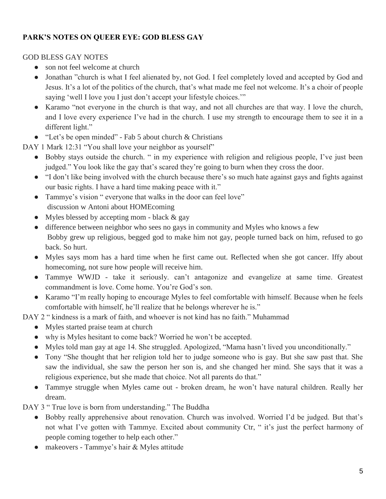# **PARK'S NOTES ON QUEER EYE: GOD BLESS GAY**

### GOD BLESS GAY NOTES

- son not feel welcome at church
- Jonathan "church is what I feel alienated by, not God. I feel completely loved and accepted by God and Jesus. It's a lot of the politics of the church, that's what made me feel not welcome. It's a choir of people saying 'well I love you I just don't accept your lifestyle choices."
- Karamo "not everyone in the church is that way, and not all churches are that way. I love the church, and I love every experience I've had in the church. I use my strength to encourage them to see it in a different light."
- "Let's be open minded" Fab 5 about church & Christians

DAY 1 Mark 12:31 "You shall love your neighbor as yourself"

- Bobby stays outside the church. " in my experience with religion and religious people, I've just been judged." You look like the gay that's scared they're going to burn when they cross the door.
- "I don't like being involved with the church because there's so much hate against gays and fights against our basic rights. I have a hard time making peace with it."
- Tammye's vision " everyone that walks in the door can feel love" discussion w Antoni about HOMEcoming
- Myles blessed by accepting mom black & gay
- difference between neighbor who sees no gays in community and Myles who knows a few Bobby grew up religious, begged god to make him not gay, people turned back on him, refused to go back. So hurt.
- Myles says mom has a hard time when he first came out. Reflected when she got cancer. If fy about homecoming, not sure how people will receive him.
- Tammye WWJD take it seriously. can't antagonize and evangelize at same time. Greatest commandment is love. Come home. You're God's son.
- Karamo "I'm really hoping to encourage Myles to feel comfortable with himself. Because when he feels comfortable with himself, he'll realize that he belongs wherever he is."

DAY 2 " kindness is a mark of faith, and whoever is not kind has no faith." Muhammad

- Myles started praise team at church
- why is Myles hesitant to come back? Worried he won't be accepted.
- Myles told man gay at age 14. She struggled. Apologized, "Mama hasn't lived you unconditionally."
- Tony "She thought that her religion told her to judge someone who is gay. But she saw past that. She saw the individual, she saw the person her son is, and she changed her mind. She says that it was a religious experience, but she made that choice. Not all parents do that."
- Tammye struggle when Myles came out broken dream, he won't have natural children. Really her dream.

DAY 3 " True love is born from understanding." The Buddha

- Bobby really apprehensive about renovation. Church was involved. Worried I'd be judged. But that's not what I've gotten with Tammye. Excited about community Ctr, " it's just the perfect harmony of people coming together to help each other."
- makeovers Tammye's hair & Myles attitude